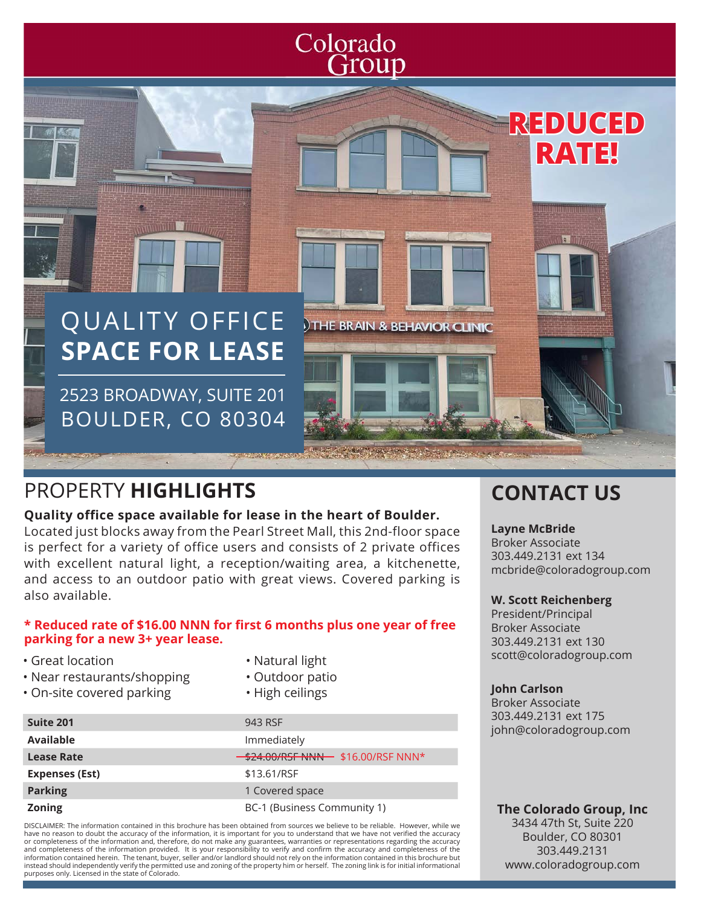## Colorado Group

## QUALITY OFFICE **SPACE FOR LEASE**

2523 BROADWAY, SUITE 201 BOULDER, CO 80304

ia li **THE BRAIN & BEHAVIOR CLINIC** 

## PROPERTY **HIGHLIGHTS CONTACT US**

<u>ilipopopopopom</u>

#### **Quality office space available for lease in the heart of Boulder.**

Located just blocks away from the Pearl Street Mall, this 2nd-floor space is perfect for a variety of office users and consists of 2 private offices with excellent natural light, a reception/waiting area, a kitchenette, and access to an outdoor patio with great views. Covered parking is also available.

#### **\* Reduced rate of \$16.00 NNN for first 6 months plus one year of free parking for a new 3+ year lease.**

- Great location
- Near restaurants/shopping
- On-site covered parking
- Natural light
- Outdoor patio
- High ceilings

| Suite 201         | 943 RSF                           |
|-------------------|-----------------------------------|
| Available         | Immediately                       |
| <b>Lease Rate</b> | \$24.00/RSF NNN- \$16.00/RSF NNN* |
| Expenses (Est)    | \$13.61/RSF                       |
| <b>Parking</b>    | 1 Covered space                   |
| <b>Zoning</b>     | BC-1 (Business Community 1)       |
|                   |                                   |

DISCLAIMER: The information contained in this brochure has been obtained from sources we believe to be reliable. However, while we have no reason to doubt the accuracy of the information, it is important for you to understand that we have not verified the accuracy or completeness of the information and, therefore, do not make any guarantees, warranties or representations regarding the accuracy<br>and completeness of the information provided. It is your responsibility to verify and con information contained herein. The tenant, buyer, seller and/or landlord should not rely on the information contained in this brochure but instead should independently verify the permitted use and zoning of the property him or herself. The zoning link is for initial informational purposes only. Licensed in the state of Colorado.

### **Layne McBride**

Broker Associate 303.449.2131 ext 134 mcbride@coloradogroup.com

**REDUCED**

**RATE!**

#### **W. Scott Reichenberg**

President/Principal Broker Associate 303.449.2131 ext 130 scott@coloradogroup.com

#### **John Carlson**

Broker Associate 303.449.2131 ext 175 john@coloradogroup.com

#### **The Colorado Group, Inc**

3434 47th St, Suite 220 Boulder, CO 80301 303.449.2131 www.coloradogroup.com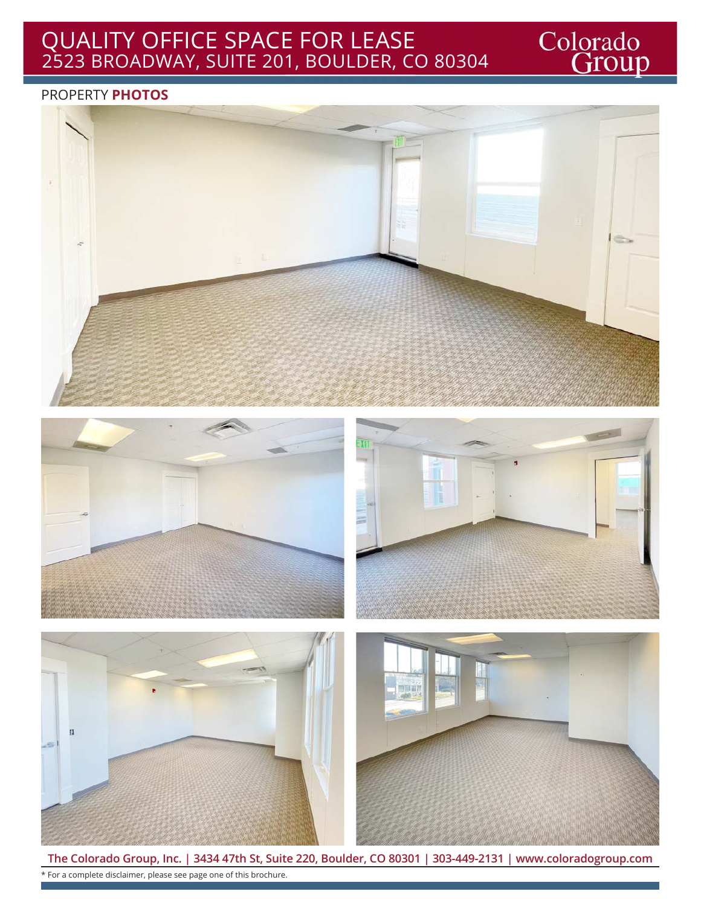## QUALITY OFFICE SPACE FOR LEASE 2523 BROADWAY, SUITE 201, BOULDER, CO 80304

#### PROPERTY **PHOTOS**







Colorado<br>Group



**The Colorado Group, Inc. | 3434 47th St, Suite 220, Boulder, CO 80301 | 303-449-2131 | www.coloradogroup.com** \* For a complete disclaimer, please see page one of this brochure.